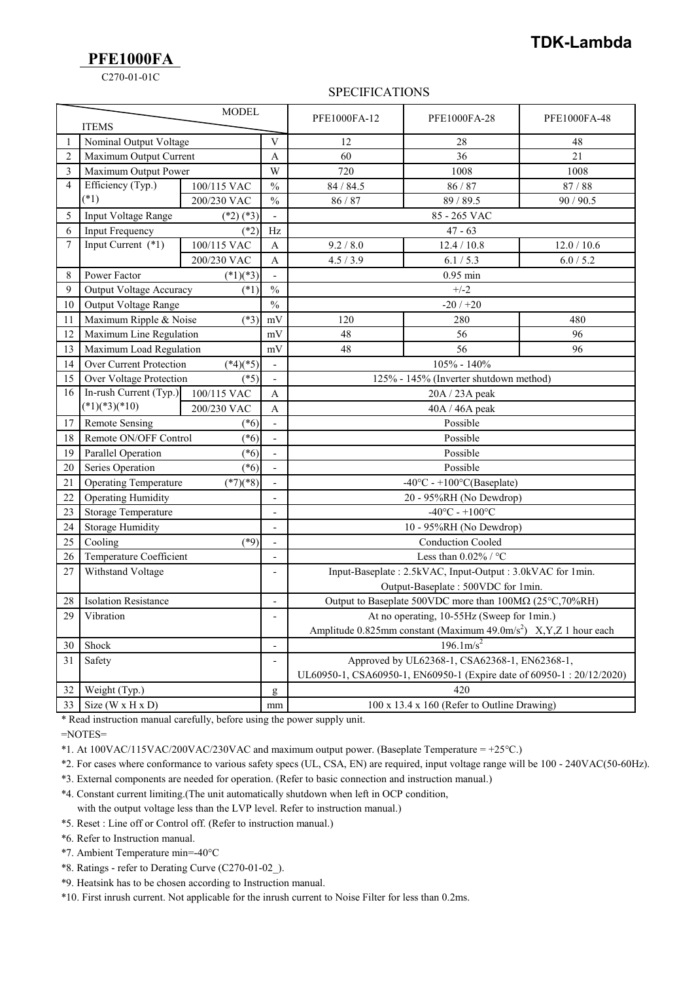### **TDK-Lambda**

**PFE1000FA**

C270-01-01C

#### SPECIFICATIONS

| <b>MODEL</b><br><b>ITEMS</b> |                                                                         |             |                          | PFE1000FA-12                                                                                    | PFE1000FA-28 | PFE1000FA-48 |
|------------------------------|-------------------------------------------------------------------------|-------------|--------------------------|-------------------------------------------------------------------------------------------------|--------------|--------------|
| 1                            | Nominal Output Voltage                                                  |             |                          | 12                                                                                              | 28           | 48           |
| $\overline{2}$               | Maximum Output Current                                                  |             | A                        | 60                                                                                              | 36           | 21           |
| 3                            | Maximum Output Power                                                    |             | W                        | 720                                                                                             | 1008         | 1008         |
| $\overline{4}$               | Efficiency (Typ.)                                                       | 100/115 VAC | $\frac{0}{0}$            | 84 / 84.5                                                                                       | 86 / 87      | 87/88        |
|                              | $(*1)$                                                                  | 200/230 VAC | $\frac{0}{0}$            | 86/87                                                                                           | 89/89.5      | 90/90.5      |
| 5                            | Input Voltage Range<br>$(*2)$ $(*3)$                                    |             |                          | 85 - 265 VAC                                                                                    |              |              |
| 6                            | $(*2)$<br><b>Input Frequency</b>                                        |             | Hz                       | $47 - 63$                                                                                       |              |              |
| 7                            | Input Current $(*1)$                                                    | 100/115 VAC | $\mathbf{A}$             | 9.2 / 8.0                                                                                       | 12.4 / 10.8  | 12.0 / 10.6  |
|                              |                                                                         | 200/230 VAC | A                        | 4.5/3.9                                                                                         | 6.1 / 5.3    | 6.0 / 5.2    |
| $\,$ 8 $\,$                  | Power Factor                                                            | $(*1)(*3)$  | $\sim$                   | $0.95$ min                                                                                      |              |              |
| 9                            | <b>Output Voltage Accuracy</b><br>$(*1)$                                |             | $\%$                     | $+/-2$                                                                                          |              |              |
| 10                           | Output Voltage Range                                                    |             | $\frac{0}{0}$            | $-20/120$                                                                                       |              |              |
| 11                           | Maximum Ripple & Noise                                                  | $(*3)$      | mV                       | 120                                                                                             | 280          | 480          |
| 12                           | Maximum Line Regulation                                                 |             | mV                       | 48                                                                                              | 56           | 96           |
| 13                           | Maximum Load Regulation                                                 |             | mV                       | 48                                                                                              | 56           | 96           |
| 14                           | Over Current Protection<br>$(*4)(*5)$                                   |             | $\mathbf{r}$             | 105% - 140%                                                                                     |              |              |
| 15                           | $(*5)$<br>Over Voltage Protection                                       |             | $\overline{\phantom{a}}$ | 125% - 145% (Inverter shutdown method)                                                          |              |              |
| 16                           | In-rush Current (Typ.)<br>100/115 VAC<br>$(*1)(*3)(*10)$<br>200/230 VAC |             | A                        | 20A / 23A peak                                                                                  |              |              |
|                              |                                                                         |             | A                        | 40A / 46A peak                                                                                  |              |              |
| 17                           | <b>Remote Sensing</b><br>$(*6)$                                         |             | $\Box$                   | Possible                                                                                        |              |              |
| 18                           | Remote ON/OFF Control<br>$(*6)$                                         |             | $\overline{\phantom{a}}$ | Possible                                                                                        |              |              |
| 19                           | Parallel Operation<br>$(*6)$                                            |             | $\blacksquare$           | Possible                                                                                        |              |              |
| 20                           | Series Operation<br>$(*6)$                                              |             | $\mathbf{r}$             | Possible                                                                                        |              |              |
| 21                           | <b>Operating Temperature</b><br>$(*7)(*8)$                              |             | $\overline{a}$           | $-40^{\circ}$ C - $+100^{\circ}$ C(Baseplate)                                                   |              |              |
| 22                           | <b>Operating Humidity</b>                                               |             | $\overline{\phantom{a}}$ | 20 - 95%RH (No Dewdrop)                                                                         |              |              |
| 23                           | Storage Temperature                                                     |             | $\Box$                   | $-40^{\circ}$ C - $+100^{\circ}$ C                                                              |              |              |
| 24                           | <b>Storage Humidity</b>                                                 |             | $\overline{a}$           | $10 - 95\%RH$ (No Dewdrop)                                                                      |              |              |
| 25                           | $(*9)$<br>Cooling                                                       |             | $\overline{a}$           | <b>Conduction Cooled</b>                                                                        |              |              |
| 26                           | Temperature Coefficient                                                 |             | $\blacksquare$           | Less than $0.02\%$ / $^{\circ}$ C                                                               |              |              |
| 27                           | Withstand Voltage                                                       |             | $\Box$                   | Input-Baseplate: 2.5kVAC, Input-Output: 3.0kVAC for 1min.<br>Output-Baseplate: 500VDC for 1min. |              |              |
|                              |                                                                         |             |                          |                                                                                                 |              |              |
| 28                           | <b>Isolation Resistance</b>                                             |             | $\overline{\phantom{a}}$ | Output to Baseplate 500VDC more than $100M\Omega$ (25°C,70%RH)                                  |              |              |
| 29                           | Vibration                                                               |             | $\overline{\phantom{a}}$ | At no operating, 10-55Hz (Sweep for 1min.)                                                      |              |              |
|                              |                                                                         |             |                          | Amplitude 0.825mm constant (Maximum 49.0m/s <sup>2</sup> ) X, Y, Z 1 hour each                  |              |              |
| 30                           | Shock                                                                   |             | $\overline{\phantom{a}}$ | $196.1 \text{m/s}^2$                                                                            |              |              |
| 31                           | Safety                                                                  |             | $\mathbf{r}$             | Approved by UL62368-1, CSA62368-1, EN62368-1,                                                   |              |              |
|                              |                                                                         |             |                          | UL60950-1, CSA60950-1, EN60950-1 (Expire date of 60950-1:20/12/2020)                            |              |              |
| 32                           | Weight (Typ.)                                                           |             | g                        | 420                                                                                             |              |              |
| 33                           | Size ( $W \times H \times D$ )                                          |             | mm                       | $100 \times 13.4 \times 160$ (Refer to Outline Drawing)                                         |              |              |

\* Read instruction manual carefully, before using the power supply unit.

=NOTES=

\*1. At 100VAC/115VAC/200VAC/230VAC and maximum output power. (Baseplate Temperature = +25°C.)

- \*2. For cases where conformance to various safety specs (UL, CSA, EN) are required, input voltage range will be 100 240VAC(50-60Hz).
- \*3. External components are needed for operation. (Refer to basic connection and instruction manual.)
- \*4. Constant current limiting.(The unit automatically shutdown when left in OCP condition, with the output voltage less than the LVP level. Refer to instruction manual.)
- \*5. Reset : Line off or Control off. (Refer to instruction manual.)
- \*6. Refer to Instruction manual.
- \*7. Ambient Temperature min=-40°C
- \*8. Ratings refer to Derating Curve (C270-01-02\_).
- \*9. Heatsink has to be chosen according to Instruction manual.
- \*10. First inrush current. Not applicable for the inrush current to Noise Filter for less than 0.2ms.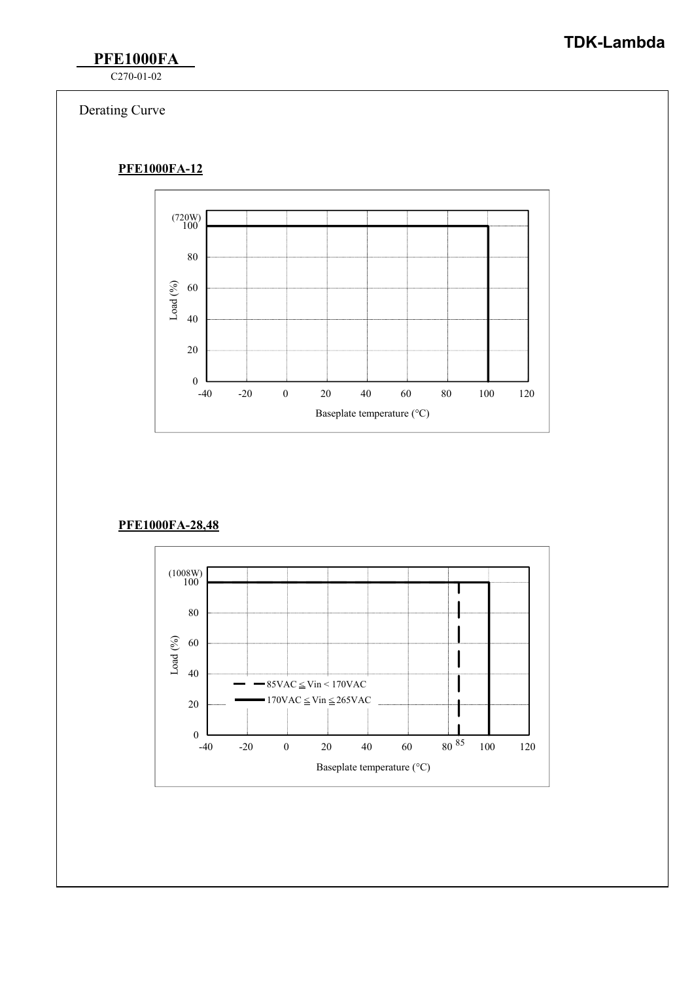# **TDK-Lambda**

**PFE1000FA**

C270-01-02

## Derating Curve

#### **PFE1000FA-12**



#### **PFE1000FA-28,48**